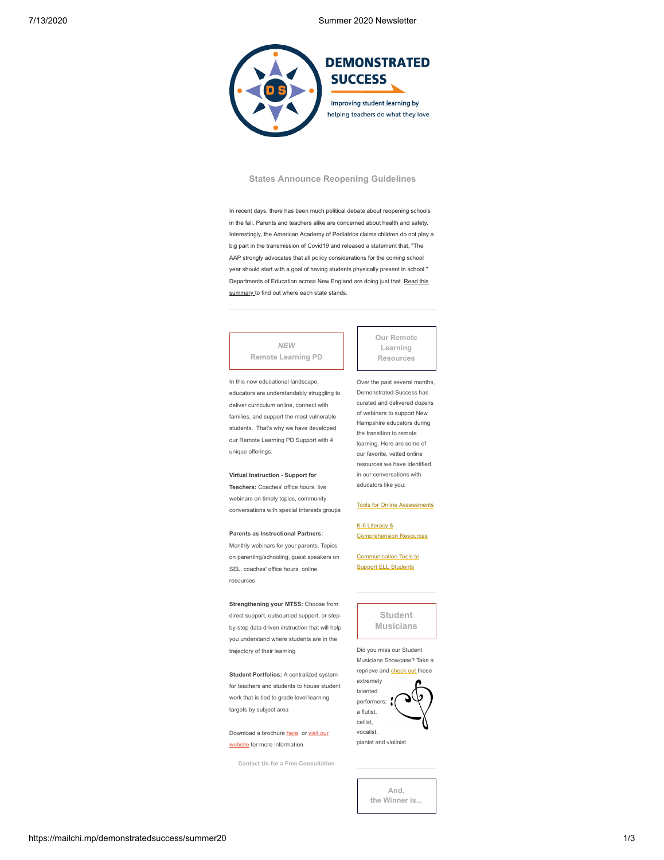7/13/2020 Summer 2020 Newsletter



## **States Announce Reopening Guidelines**

In recent days, there has been much political debate about reopening schools in the fall. Parents and teachers alike are concerned about health and safety. Interestingly, the American Academy of Pediatrics claims children do not play a big part in the transmission of Covid19 and released a statement that, "The AAP strongly advocates that all policy considerations for the coming school year should start with a goal of having students physically present in school." [Departments of Education across New England are doing just that. Read this](https://mcusercontent.com/fd71a91d185a89b556ced9e42/files/09ac978d-c4d9-41e3-bb21-c8ff15abee08/stateplanssummary.pdf) summary to find out where each state stands.

## *NEW* **Remote Learning PD**

In this new educational landscape, educators are understandably struggling to deliver curriculum online, connect with families, and support the most vulnerable students. That's why we have developed our Remote Learning PD Support with 4 unique offerings:

#### **Virtual Instruction - Support for**

**Teachers:** Coaches' office hours, live webinars on timely topics, community conversations with special interests groups

#### **Parents as Instructional Partners:**

Monthly webinars for your parents. Topics on parenting/schooling, guest speakers on SEL, coaches' office hours, online resources

**Strengthening your MTSS:** Choose from direct support, outsourced support, or stepby-step data driven instruction that will help you understand where students are in the trajectory of their learning

**Student Portfolios:** A centralized system for teachers and students to house student work that is tied to grade level learning targets by subject area

[Download a brochure](https://www.demonstratedsuccess.com/Public/remote-learning/?utm_source=mailchimp&utm_medium=newsletter&utm_content=remote&utm_campaign=summer20) [her](https://mcusercontent.com/fd71a91d185a89b556ced9e42/files/a5f9cec1-813d-40a6-990e-c5f965b259db/Virtual_Flyer_Web.pdf)[e or visit our](https://www.demonstratedsuccess.com/Public/remote-learning/?utm_source=mailchimp&utm_medium=newsletter&utm_content=remote&utm_campaign=summer20) website for more information

**[Contact Us for a Free Consultation](mailto:info@DemonstratedSuccess.com?subject=Remote%20Learning%20PD%20Consultation&body=Hi%2C)**

**Our Remote Learning Resources**

Over the past several months, Demonstrated Success has curated and delivered dozens of webinars to support New Hampshire educators during the transition to remote learning. Here are some of our favorite, vetted online resources we have identified in our conversations with educators like you:

#### [Tools for Online Assessments](https://www.demonstratedsuccess.com/Public/tools-to-create-study-guides-practice-tests-quizzes-and-assessments/)

K-6 Literacy & [Comprehension Resources](https://www.demonstratedsuccess.com/Public/grading-k-6-virtual-resources-for-reading-comprehension/)

[Communication Tools to](https://www.demonstratedsuccess.com/Public/communication-resources-for-ell-students/) Support ELL Students

# **Student Musicians**

Did you miss our Student Musicians Showcase? Take a reprieve and [check out](https://www.youtube.com/playlist?list=PL91EiVbwWQTCw70_x1nKs6jwd_XcOzUhm) these



pianist and violinist.